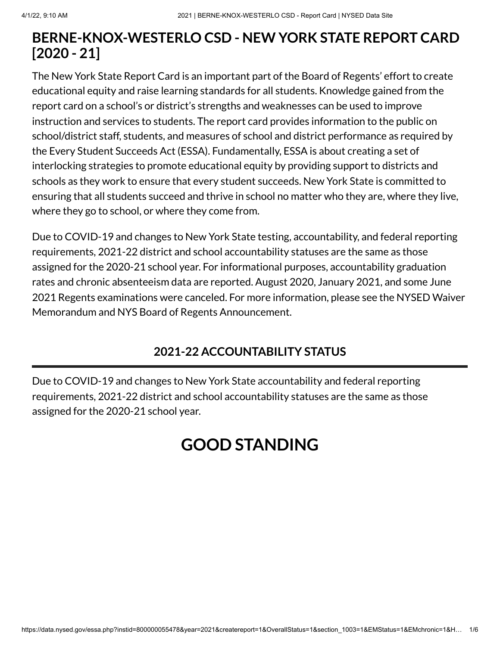# **BERNE-KNOX-WESTERLO CSD - NEW YORK STATE REPORT CARD [2020 - 21]**

The New York State Report Card is an important part of the Board of Regents' effort to create educational equity and raise learning standards for all students. Knowledge gained from the report card on a school's or district's strengths and weaknesses can be used to improve instruction and services to students. The report card provides information to the public on school/district staff, students, and measures of school and district performance as required by the Every Student Succeeds Act (ESSA). Fundamentally, ESSA is about creating a set of interlocking strategies to promote educational equity by providing support to districts and schools as they work to ensure that every student succeeds. New York State is committed to ensuring that all students succeed and thrive in school no matter who they are, where they live, where they go to school, or where they come from.

Due to COVID-19 and changes to New York State testing, accountability, and federal reporting requirements, 2021-22 district and school accountability statuses are the same as those assigned for the 2020-21 school year. For informational purposes, accountability graduation rates and chronic absenteeism data are reported. August 2020, January 2021, and some June 2021 Regents examinations were canceled. For more information, please see the NYSED Waiver Memorandum and NYS Board of Regents [Announcement.](http://www.nysed.gov/memo/accountability/united-states-department-education-usde-waiver-every-student-succeeds-act-essa)

# **2021-22 ACCOUNTABILITY STATUS**

Due to COVID-19 and changes to New York State accountability and federal reporting requirements, 2021-22 district and school accountability statuses are the same as those assigned for the 2020-21 school year.

# **GOOD STANDING**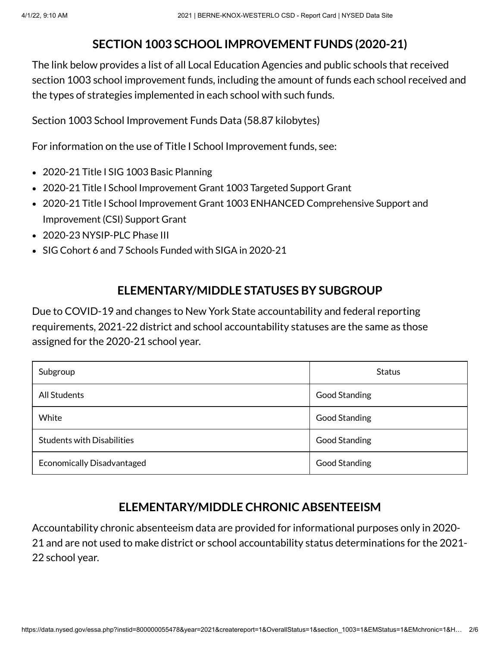# **SECTION 1003 SCHOOL IMPROVEMENT FUNDS (2020-21)**

The link below provides a list of all Local Education Agencies and public schools that received section 1003 school improvement funds, including the amount of funds each school received and the types of strategies implemented in each school with such funds.

Section 1003 School [Improvement](https://data.nysed.gov/files/essa/20-21/1003.xlsx) Funds Data (58.87 kilobytes)

For information on the use of Title I School Improvement funds, see:

- 2020-21 Title I SIG 1003 [Basic Planning](http://www.p12.nysed.gov/funding/currentapps.html#siga2020-21)
- 2020-21 Title I School Improvement Grant 1003 [Targeted Support](http://www.p12.nysed.gov/funding/currentapps.html#sig-targeted-2020-21) Grant
- 2020-21 Title I School Improvement Grant 1003 ENHANCED [Comprehensive](http://www.p12.nysed.gov/funding/currentapps.html#sig-csi-2020) Support and Improvement (CSI) Support Grant
- 2020-23 [NYSIP-PLC](http://www.p12.nysed.gov/funding/currentapps.html#nysip-plc-phase-3) Phase III
- SIG Cohort 6 and 7 Schools [Funded with](http://www.p12.nysed.gov/oisr/) SIGA in 2020-21

# **ELEMENTARY/MIDDLE STATUSES BY SUBGROUP**

Due to COVID-19 and changes to New York State accountability and federal reporting requirements, 2021-22 district and school accountability statuses are the same as those assigned for the 2020-21 school year.

| Subgroup                          | <b>Status</b>        |
|-----------------------------------|----------------------|
| <b>All Students</b>               | <b>Good Standing</b> |
| White                             | <b>Good Standing</b> |
| <b>Students with Disabilities</b> | <b>Good Standing</b> |
| <b>Economically Disadvantaged</b> | <b>Good Standing</b> |

# **ELEMENTARY/MIDDLE CHRONIC ABSENTEEISM**

Accountability chronic absenteeism data are provided for informational purposes only in 2020- 21 and are not used to make district or school accountability status determinations for the 2021- 22 school year.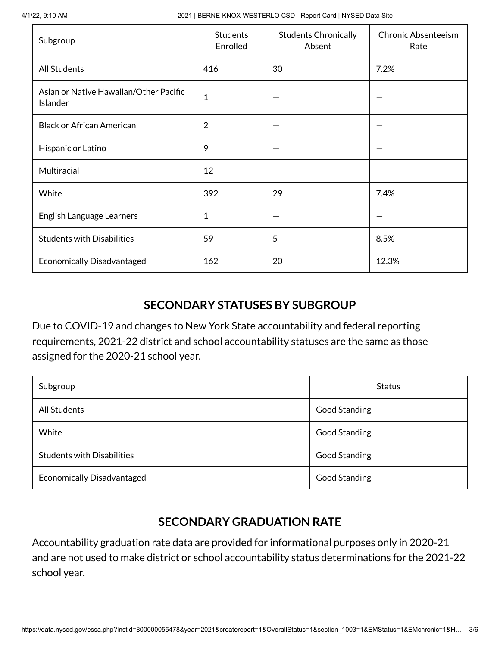4/1/22, 9:10 AM 2021 | BERNE-KNOX-WESTERLO CSD - Report Card | NYSED Data Site

| Subgroup                                           | <b>Students</b><br>Enrolled | <b>Students Chronically</b><br>Absent | <b>Chronic Absenteeism</b><br>Rate |
|----------------------------------------------------|-----------------------------|---------------------------------------|------------------------------------|
| <b>All Students</b>                                | 416                         | 30                                    | 7.2%                               |
| Asian or Native Hawaiian/Other Pacific<br>Islander | $\mathbf 1$                 |                                       |                                    |
| <b>Black or African American</b>                   | $\overline{2}$              |                                       |                                    |
| Hispanic or Latino                                 | 9                           |                                       |                                    |
| Multiracial                                        | 12                          |                                       |                                    |
| White                                              | 392                         | 29                                    | 7.4%                               |
| English Language Learners                          | 1                           |                                       |                                    |
| <b>Students with Disabilities</b>                  | 59                          | 5                                     | 8.5%                               |
| <b>Economically Disadvantaged</b>                  | 162                         | 20                                    | 12.3%                              |

### **SECONDARY STATUSES BY SUBGROUP**

Due to COVID-19 and changes to New York State accountability and federal reporting requirements, 2021-22 district and school accountability statuses are the same as those assigned for the 2020-21 school year.

| Subgroup                          | <b>Status</b>        |
|-----------------------------------|----------------------|
| <b>All Students</b>               | <b>Good Standing</b> |
| White                             | Good Standing        |
| <b>Students with Disabilities</b> | <b>Good Standing</b> |
| <b>Economically Disadvantaged</b> | <b>Good Standing</b> |

# **SECONDARY GRADUATION RATE**

Accountability graduation rate data are provided for informational purposes only in 2020-21 and are not used to make district or school accountability status determinations for the 2021-22 school year.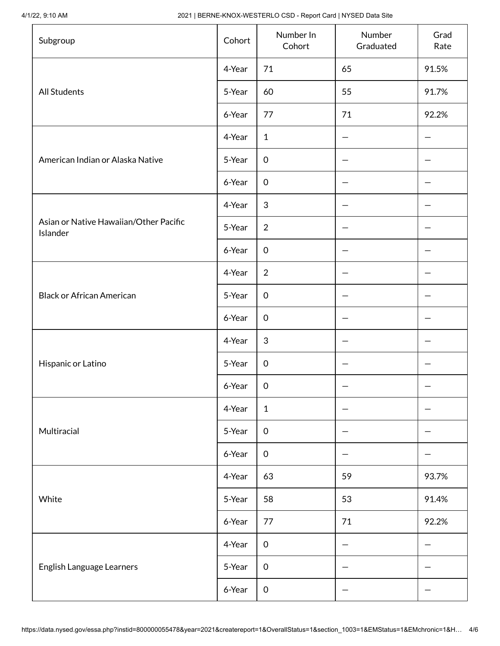4/1/22, 9:10 AM 2021 | BERNE-KNOX-WESTERLO CSD - Report Card | NYSED Data Site

| Subgroup                                           | Cohort | Number In<br>Cohort | Number<br>Graduated | Grad<br>Rate |
|----------------------------------------------------|--------|---------------------|---------------------|--------------|
|                                                    | 4-Year | 71                  | 65                  | 91.5%        |
| <b>All Students</b>                                | 5-Year | 60                  | 55                  | 91.7%        |
|                                                    | 6-Year | 77                  | 71                  | 92.2%        |
|                                                    | 4-Year | $\mathbf{1}$        |                     |              |
| American Indian or Alaska Native                   | 5-Year | $\boldsymbol{0}$    |                     |              |
|                                                    | 6-Year | $\mathbf 0$         |                     |              |
|                                                    | 4-Year | $\sqrt{3}$          |                     |              |
| Asian or Native Hawaiian/Other Pacific<br>Islander | 5-Year | $\overline{2}$      |                     |              |
|                                                    | 6-Year | $\mathbf 0$         |                     |              |
|                                                    | 4-Year | $\overline{2}$      |                     |              |
| <b>Black or African American</b>                   | 5-Year | $\mathbf 0$         |                     |              |
|                                                    | 6-Year | $\mathsf{O}\xspace$ |                     |              |
|                                                    | 4-Year | 3                   |                     |              |
| Hispanic or Latino                                 | 5-Year | $\mathbf 0$         |                     |              |
|                                                    | 6-Year | 0                   |                     |              |
|                                                    | 4-Year | $\mathbf{1}$        |                     |              |
| Multiracial                                        | 5-Year | $\mathbf 0$         |                     |              |
|                                                    | 6-Year | $\mathbf 0$         |                     |              |
|                                                    | 4-Year | 63                  | 59                  | 93.7%        |
| White                                              | 5-Year | 58                  | 53                  | 91.4%        |
|                                                    | 6-Year | 77                  | 71                  | 92.2%        |
|                                                    | 4-Year | $\boldsymbol{0}$    |                     |              |
| English Language Learners                          | 5-Year | $\boldsymbol{0}$    |                     |              |
|                                                    | 6-Year | $\,0\,$             |                     |              |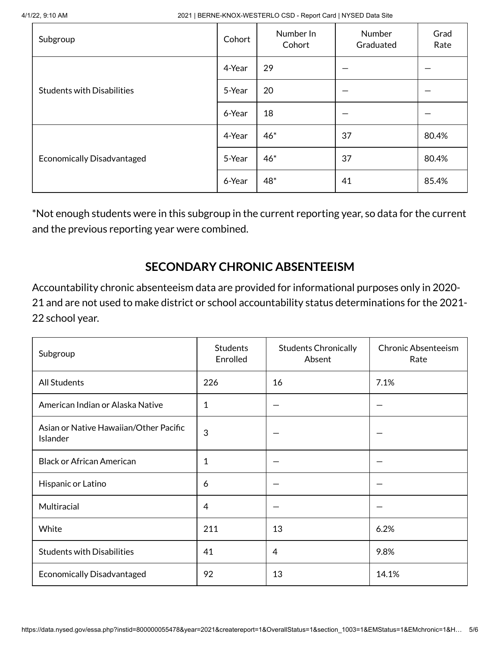4/1/22, 9:10 AM 2021 | BERNE-KNOX-WESTERLO CSD - Report Card | NYSED Data Site

| Subgroup                          | Cohort | Number In<br>Cohort | Number<br>Graduated | Grad<br>Rate |
|-----------------------------------|--------|---------------------|---------------------|--------------|
|                                   | 4-Year | 29                  |                     |              |
| <b>Students with Disabilities</b> | 5-Year | 20                  |                     |              |
|                                   | 6-Year | 18                  |                     |              |
|                                   | 4-Year | $46*$               | 37                  | 80.4%        |
| <b>Economically Disadvantaged</b> | 5-Year | $46*$               | 37                  | 80.4%        |
|                                   | 6-Year | 48*                 | 41                  | 85.4%        |

\*Not enough students were in this subgroup in the current reporting year, so data for the current and the previous reporting year were combined.

### **SECONDARY CHRONIC ABSENTEEISM**

Accountability chronic absenteeism data are provided for informational purposes only in 2020- 21 and are not used to make district or school accountability status determinations for the 2021- 22 school year.

| Subgroup                                           | <b>Students</b><br>Enrolled | <b>Students Chronically</b><br>Absent | Chronic Absenteeism<br>Rate |
|----------------------------------------------------|-----------------------------|---------------------------------------|-----------------------------|
| <b>All Students</b>                                | 226                         | 16                                    | 7.1%                        |
| American Indian or Alaska Native                   | 1                           |                                       |                             |
| Asian or Native Hawaiian/Other Pacific<br>Islander | 3                           |                                       |                             |
| <b>Black or African American</b>                   | 1                           |                                       |                             |
| Hispanic or Latino                                 | 6                           |                                       |                             |
| Multiracial                                        | 4                           |                                       |                             |
| White                                              | 211                         | 13                                    | 6.2%                        |
| <b>Students with Disabilities</b>                  | 41                          | 4                                     | 9.8%                        |
| <b>Economically Disadvantaged</b>                  | 92                          | 13                                    | 14.1%                       |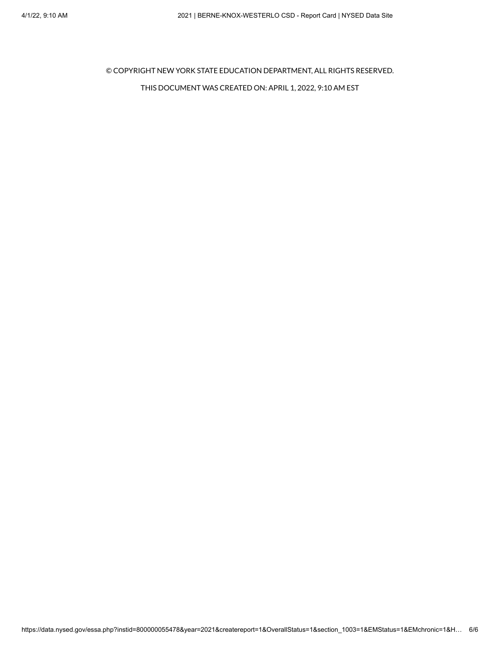© COPYRIGHT NEW YORK STATE EDUCATION DEPARTMENT, ALL RIGHTS RESERVED.

#### THIS DOCUMENT WAS CREATED ON: APRIL 1, 2022, 9:10 AM EST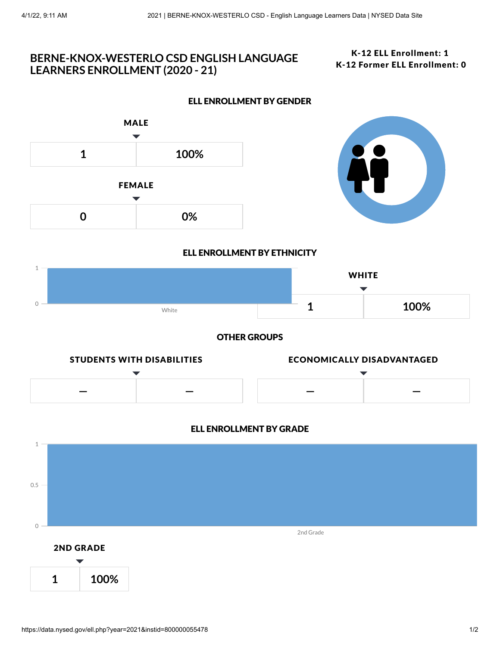### **BERNE-KNOX-WESTERLO CSD ENGLISH LANGUAGE LEARNERS ENROLLMENT (2020 - 21)**

### K-12 ELL Enrollment: 1 K-12 Former ELL Enrollment: 0



**0 0%**



### ELL ENROLLMENT BY ETHNICITY

ELL ENROLLMENT BY GENDER



OTHER GROUPS



### ELL ENROLLMENT BY GRADE

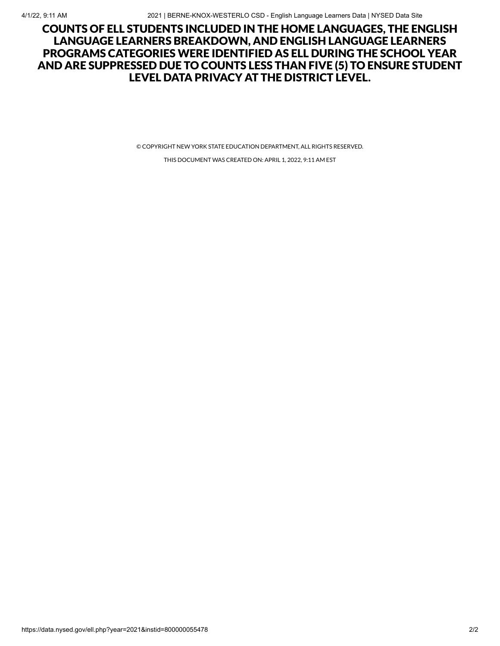### COUNTS OF ELL STUDENTS INCLUDED IN THE HOME LANGUAGES, THE ENGLISH LANGUAGE LEARNERS BREAKDOWN, AND ENGLISH LANGUAGE LEARNERS PROGRAMS CATEGORIES WERE IDENTIFIED AS ELL DURING THE SCHOOL YEAR AND ARE SUPPRESSED DUE TO COUNTS LESS THAN FIVE (5) TO ENSURE STUDENT LEVEL DATA PRIVACY AT THE DISTRICT LEVEL.

© COPYRIGHT NEW YORK STATE EDUCATION DEPARTMENT, ALL RIGHTS RESERVED.

THIS DOCUMENT WAS CREATED ON: APRIL 1, 2022, 9:11 AM EST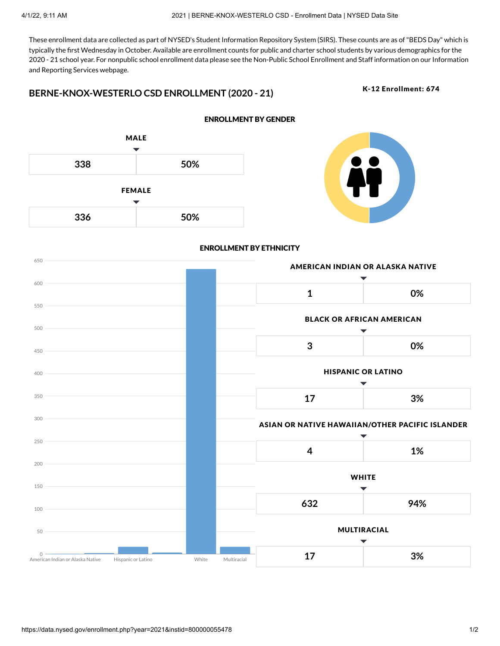These enrollment data are collected as part of NYSED's Student Information Repository System (SIRS). These counts are as of"BEDS Day" which is typically the first Wednesday in October. Available are enrollment counts for public and charter school students by various demographics for the 2020 - 21 school year. For nonpublic school enrollment data please see the Non-Public School Enrollment and Staff [information](http://www.p12.nysed.gov/irs/statistics/nonpublic/home.html) on our Information and Reporting Services webpage.

### **BERNE-KNOX-WESTERLO CSD ENROLLMENT (2020 - 21)**

K-12 Enrollment: 674



#### ENROLLMENT BY GENDER



#### ENROLLMENT BY ETHNICITY

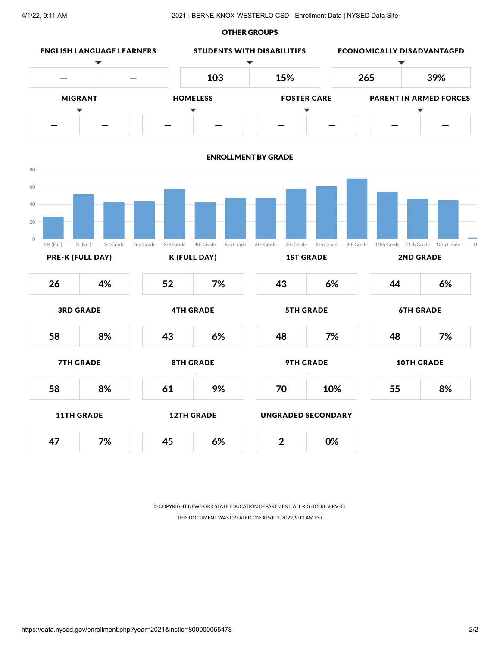#### OTHER GROUPS



© COPYRIGHT NEW YORK STATE EDUCATION DEPARTMENT, ALL RIGHTS RESERVED. THIS DOCUMENT WAS CREATED ON: APRIL 1, 2022, 9:11 AM EST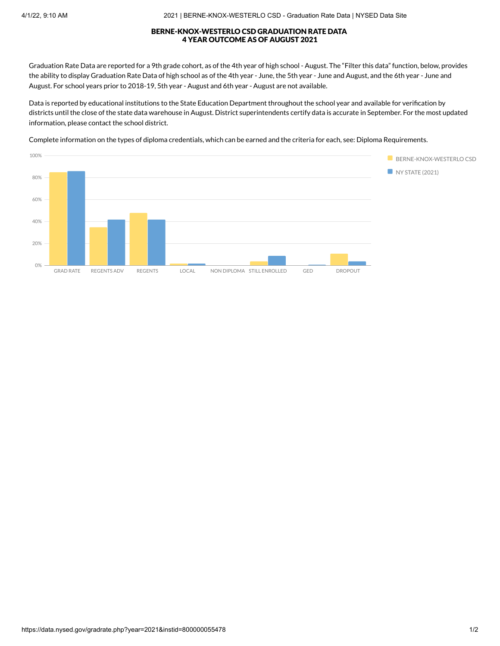#### BERNE-KNOX-WESTERLO CSD GRADUATION RATE DATA 4 YEAR OUTCOME AS OF AUGUST 2021

Graduation Rate Data are reported for a 9th grade cohort, as of the 4th year of high school - August. The "Filter this data" function, below, provides the ability to display Graduation Rate Data of high school as of the 4th year - June, the 5th year - June and August, and the 6th year - June and August. For school years prior to 2018-19, 5th year - August and 6th year - August are not available.

Data is reported by educational institutions to the State Education Department throughout the school year and available for verification by districts until the close of the state data warehouse in August. District superintendents certify data is accurate in September. For the most updated information, please contact the school district.

Complete information on the types of diploma credentials, which can be earned and the criteria for each, see: Diploma [Requirements.](http://www.nysed.gov/curriculum-instruction/general-education-and-diploma-requirements)

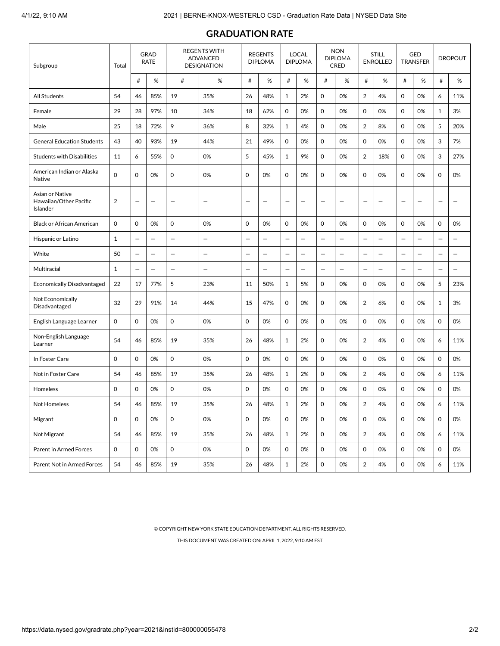| Subgroup                                              | <b>GRAD</b><br><b>RATE</b><br>Total |                          |                          | <b>REGENTS WITH</b><br><b>ADVANCED</b><br><b>DESIGNATION</b> |                          |                          | <b>REGENTS</b><br><b>DIPLOMA</b> |                          | <b>LOCAL</b><br><b>DIPLOMA</b> |                          | <b>NON</b><br><b>DIPLOMA</b><br><b>CRED</b> |                          | <b>STILL</b><br><b>ENROLLED</b> |                          | GED<br><b>TRANSFER</b>   |                          | <b>DROPOUT</b>           |
|-------------------------------------------------------|-------------------------------------|--------------------------|--------------------------|--------------------------------------------------------------|--------------------------|--------------------------|----------------------------------|--------------------------|--------------------------------|--------------------------|---------------------------------------------|--------------------------|---------------------------------|--------------------------|--------------------------|--------------------------|--------------------------|
|                                                       |                                     | #                        | %                        | $^{\#}$                                                      | $\%$                     | #                        | %                                | $\#$                     | %                              | $\#$                     | %                                           | $\#$                     | %                               | #                        | %                        | #                        | $\%$                     |
| All Students                                          | 54                                  | 46                       | 85%                      | 19                                                           | 35%                      | 26                       | 48%                              | $\mathbf{1}$             | 2%                             | 0                        | 0%                                          | $\overline{2}$           | 4%                              | 0                        | 0%                       | 6                        | 11%                      |
| Female                                                | 29                                  | 28                       | 97%                      | 10                                                           | 34%                      | 18                       | 62%                              | 0                        | 0%                             | 0                        | 0%                                          | $\mathsf{O}\xspace$      | 0%                              | 0                        | 0%                       | $\mathbf{1}$             | 3%                       |
| Male                                                  | 25                                  | 18                       | 72%                      | 9                                                            | 36%                      | 8                        | 32%                              | $\mathbf{1}$             | 4%                             | 0                        | 0%                                          | $\overline{2}$           | 8%                              | 0                        | 0%                       | 5                        | 20%                      |
| <b>General Education Students</b>                     | 43                                  | 40                       | 93%                      | 19                                                           | 44%                      | 21                       | 49%                              | $\mathsf{O}\xspace$      | 0%                             | 0                        | 0%                                          | $\mathsf{O}\xspace$      | 0%                              | $\mathbf 0$              | 0%                       | 3                        | 7%                       |
| <b>Students with Disabilities</b>                     | 11                                  | 6                        | 55%                      | $\mathbf 0$                                                  | 0%                       | 5                        | 45%                              | $\mathbf{1}$             | 9%                             | 0                        | 0%                                          | $\overline{2}$           | 18%                             | 0                        | 0%                       | 3                        | 27%                      |
| American Indian or Alaska<br>Native                   | $\mathbf 0$                         | $\mathbf 0$              | 0%                       | 0                                                            | 0%                       | $\mathbf 0$              | 0%                               | $\mathbf 0$              | 0%                             | 0                        | 0%                                          | $\mathbf 0$              | 0%                              | 0                        | 0%                       | $\mathbf 0$              | 0%                       |
| Asian or Native<br>Hawaiian/Other Pacific<br>Islander | 2                                   |                          | $\overline{\phantom{0}}$ | $\overline{\phantom{0}}$                                     |                          |                          | $\overline{\phantom{0}}$         | $\overline{\phantom{0}}$ | $\overline{\phantom{0}}$       | $\overline{\phantom{0}}$ |                                             | $\overline{\phantom{0}}$ |                                 | $\overline{\phantom{0}}$ | $\overline{\phantom{0}}$ | $\overline{\phantom{0}}$ |                          |
| <b>Black or African American</b>                      | 0                                   | $\mathbf 0$              | 0%                       | 0                                                            | 0%                       | 0                        | 0%                               | 0                        | 0%                             | 0                        | 0%                                          | 0                        | 0%                              | 0                        | 0%                       | $\mathbf 0$              | 0%                       |
| Hispanic or Latino                                    | $\mathbf{1}$                        |                          | $\qquad \qquad -$        | $\overline{\phantom{0}}$                                     | $\qquad \qquad -$        | $\overline{\phantom{0}}$ | $\qquad \qquad -$                | $\overline{\phantom{0}}$ | $\qquad \qquad -$              | $\overline{\phantom{m}}$ | $\overline{\phantom{m}}$                    | $\overline{\phantom{0}}$ | $\overline{\phantom{0}}$        | $\qquad \qquad -$        | $\qquad \qquad -$        |                          | $\overline{\phantom{0}}$ |
| White                                                 | 50                                  |                          |                          | $\overline{\phantom{0}}$                                     |                          | $\overline{\phantom{0}}$ |                                  | $\overline{\phantom{0}}$ | $\overline{\phantom{0}}$       | $\qquad \qquad -$        |                                             | $\overline{\phantom{0}}$ | $\overline{\phantom{0}}$        | $\overline{\phantom{0}}$ |                          | $\overline{\phantom{0}}$ | $\overline{\phantom{0}}$ |
| Multiracial                                           | $\mathbf{1}$                        | $\overline{\phantom{0}}$ | $\qquad \qquad -$        | $\overline{\phantom{0}}$                                     | $\overline{\phantom{0}}$ | —                        | $\overline{\phantom{0}}$         |                          | $\overline{\phantom{0}}$       | $\overline{\phantom{0}}$ | $\overline{\phantom{0}}$                    | $\overline{\phantom{0}}$ |                                 |                          | $\qquad \qquad -$        | $\overline{\phantom{0}}$ | $\overline{\phantom{0}}$ |
| <b>Economically Disadvantaged</b>                     | 22                                  | 17                       | 77%                      | 5                                                            | 23%                      | 11                       | 50%                              | 1                        | 5%                             | 0                        | 0%                                          | $\mathbf 0$              | 0%                              | 0                        | 0%                       | 5                        | 23%                      |
| Not Economically<br>Disadvantaged                     | 32                                  | 29                       | 91%                      | 14                                                           | 44%                      | 15                       | 47%                              | 0                        | 0%                             | 0                        | 0%                                          | $\overline{2}$           | 6%                              | 0                        | 0%                       | $1\,$                    | 3%                       |
| English Language Learner                              | 0                                   | $\mathbf 0$              | 0%                       | $\mathbf 0$                                                  | 0%                       | $\mathbf 0$              | 0%                               | $\mathbf 0$              | 0%                             | 0                        | 0%                                          | $\mathbf 0$              | 0%                              | 0                        | 0%                       | $\mathbf 0$              | 0%                       |
| Non-English Language<br>Learner                       | 54                                  | 46                       | 85%                      | 19                                                           | 35%                      | 26                       | 48%                              | $\mathbf{1}$             | 2%                             | 0                        | 0%                                          | $\overline{2}$           | 4%                              | 0                        | 0%                       | 6                        | 11%                      |
| In Foster Care                                        | $\mathbf 0$                         | $\mathbf 0$              | 0%                       | 0                                                            | 0%                       | $\mathbf 0$              | 0%                               | $\mathbf 0$              | 0%                             | 0                        | 0%                                          | $\mathbf 0$              | 0%                              | 0                        | 0%                       | $\mathbf 0$              | 0%                       |
| Not in Foster Care                                    | 54                                  | 46                       | 85%                      | 19                                                           | 35%                      | 26                       | 48%                              | $\mathbf{1}$             | 2%                             | 0                        | 0%                                          | $\overline{2}$           | 4%                              | 0                        | 0%                       | 6                        | 11%                      |
| Homeless                                              | $\mathbf 0$                         | $\mathbf 0$              | 0%                       | $\mathsf 0$                                                  | 0%                       | $\mathbf 0$              | 0%                               | $\mathbf 0$              | 0%                             | 0                        | 0%                                          | $\mathbf 0$              | 0%                              | $\mathbf 0$              | 0%                       | $\mathbf 0$              | 0%                       |
| Not Homeless                                          | 54                                  | 46                       | 85%                      | 19                                                           | 35%                      | 26                       | 48%                              | 1                        | 2%                             | $\Omega$                 | 0%                                          | $\overline{\mathbf{c}}$  | 4%                              | 0                        | 0%                       | 6                        | 11%                      |
| Migrant                                               | 0                                   | $\mathbf 0$              | 0%                       | $\mathsf{O}$                                                 | 0%                       | $\mathsf{O}$             | 0%                               | $\mathbf 0$              | 0%                             | $\mathsf{O}$             | 0%                                          | $\mathbf 0$              | 0%                              | 0                        | 0%                       | $\mathbf 0$              | 0%                       |
| Not Migrant                                           | 54                                  | 46                       | 85%                      | 19                                                           | 35%                      | 26                       | 48%                              | $\mathbf{1}$             | 2%                             | 0                        | 0%                                          | 2                        | 4%                              | 0                        | 0%                       | 6                        | 11%                      |
| Parent in Armed Forces                                | $\mathsf{O}$                        | $\mathbf 0$              | 0%                       | $\mathbf 0$                                                  | 0%                       | $\mathbf 0$              | 0%                               | $\mathbf 0$              | 0%                             | 0                        | 0%                                          | $\mathbf 0$              | 0%                              | 0                        | 0%                       | $\mathbf 0$              | 0%                       |
| Parent Not in Armed Forces                            | 54                                  | 46                       | 85%                      | 19                                                           | 35%                      | 26                       | 48%                              | $\mathbf{1}$             | 2%                             | $\mathsf{O}$             | 0%                                          | $\overline{2}$           | 4%                              | 0                        | 0%                       | 6                        | 11%                      |

### **GRADUATION RATE**

© COPYRIGHT NEW YORK STATE EDUCATION DEPARTMENT, ALL RIGHTS RESERVED.

THIS DOCUMENT WAS CREATED ON: APRIL 1, 2022, 9:10 AM EST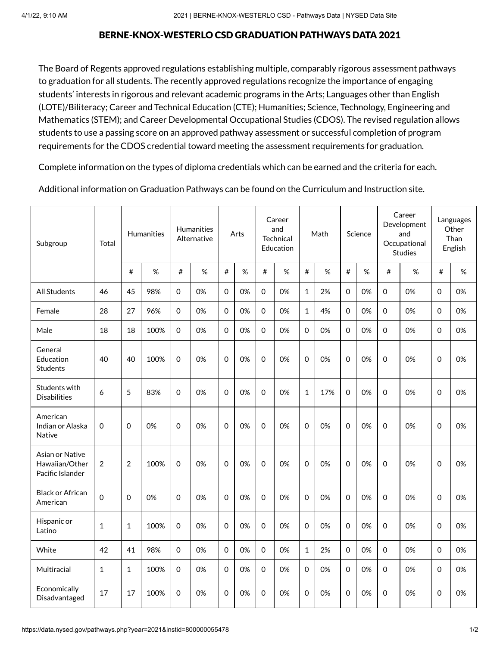### BERNE-KNOX-WESTERLO CSD GRADUATION PATHWAYS DATA 2021

The Board of Regents approved regulations establishing multiple, comparably rigorous assessment pathways to graduation for all students. The recently approved regulations recognize the importance of engaging students' interests in rigorous and relevant academic programs in the Arts; Languages other than English (LOTE)/Biliteracy; Career and Technical Education (CTE); Humanities; Science, Technology, Engineering and Mathematics (STEM); and Career Developmental Occupational Studies (CDOS). The revised regulation allows students to use a passing score on an approved pathway assessment or successful completion of program requirements for the CDOS credential toward meeting the assessment requirements for graduation.

Complete [information](http://www.nysed.gov/curriculum-instruction/general-education-and-diploma-requirements/) on the types of diploma credentials which can be earned and the criteria for each.

Additional information on Graduation Pathways can be found on the [Curriculum](http://www.nysed.gov/curriculum-instruction/multiple-pathways) and Instruction site.

| Subgroup                                              | Total          | <b>Humanities</b> |      | <b>Humanities</b><br>Alternative |      | Arts        |      | Career<br>and<br>Technical<br>Education |      | Math         |     | Science     |      | Career<br>Development<br>and<br>Occupational<br><b>Studies</b> |      | Languages<br>Other<br>Than<br>English |      |
|-------------------------------------------------------|----------------|-------------------|------|----------------------------------|------|-------------|------|-----------------------------------------|------|--------------|-----|-------------|------|----------------------------------------------------------------|------|---------------------------------------|------|
|                                                       |                | $\#$              | $\%$ | #                                | $\%$ | $\#$        | $\%$ | $\#$                                    | $\%$ | $\#$         | %   | #           | $\%$ | $\#$                                                           | $\%$ | $\#$                                  | $\%$ |
| <b>All Students</b>                                   | 46             | 45                | 98%  | $\mathbf 0$                      | 0%   | $\Omega$    | 0%   | $\Omega$                                | 0%   | $\mathbf{1}$ | 2%  | $\Omega$    | 0%   | $\Omega$                                                       | 0%   | $\Omega$                              | 0%   |
| Female                                                | 28             | 27                | 96%  | 0                                | 0%   | $\Omega$    | 0%   | $\mathbf 0$                             | 0%   | $\mathbf{1}$ | 4%  | $\mathbf 0$ | 0%   | $\Omega$                                                       | 0%   | 0                                     | 0%   |
| Male                                                  | 18             | 18                | 100% | $\mathsf{O}\xspace$              | 0%   | $\Omega$    | 0%   | $\mathbf 0$                             | 0%   | $\mathbf 0$  | 0%  | $\mathbf 0$ | 0%   | $\Omega$                                                       | 0%   | $\Omega$                              | 0%   |
| General<br>Education<br><b>Students</b>               | 40             | 40                | 100% | $\mathsf 0$                      | 0%   | $\Omega$    | 0%   | $\mathbf 0$                             | 0%   | $\mathbf 0$  | 0%  | 0           | 0%   | $\mathsf 0$                                                    | 0%   | 0                                     | 0%   |
| Students with<br><b>Disabilities</b>                  | 6              | 5                 | 83%  | 0                                | 0%   | $\Omega$    | 0%   | $\mathbf 0$                             | 0%   | $\mathbf{1}$ | 17% | $\mathbf 0$ | 0%   | $\mathbf 0$                                                    | 0%   | $\mathbf 0$                           | 0%   |
| American<br>Indian or Alaska<br>Native                | 0              | $\mathbf 0$       | 0%   | 0                                | 0%   | $\Omega$    | 0%   | $\mathbf 0$                             | 0%   | $\mathbf 0$  | 0%  | $\Omega$    | 0%   | $\mathbf 0$                                                    | 0%   | $\mathbf 0$                           | 0%   |
| Asian or Native<br>Hawaiian/Other<br>Pacific Islander | $\overline{2}$ | $\overline{2}$    | 100% | $\mathsf{O}\xspace$              | 0%   | $\mathbf 0$ | 0%   | $\mathbf 0$                             | 0%   | $\mathbf 0$  | 0%  | $\mathbf 0$ | 0%   | $\mathsf 0$                                                    | 0%   | 0                                     | 0%   |
| <b>Black or African</b><br>American                   | $\Omega$       | $\mathbf 0$       | 0%   | 0                                | 0%   | $\mathbf 0$ | 0%   | $\mathbf 0$                             | 0%   | $\mathbf 0$  | 0%  | $\mathbf 0$ | 0%   | $\mathbf 0$                                                    | 0%   | $\mathbf 0$                           | 0%   |
| Hispanic or<br>Latino                                 | 1              | $\mathbf{1}$      | 100% | 0                                | 0%   | $\Omega$    | 0%   | $\mathbf 0$                             | 0%   | $\mathbf 0$  | 0%  | $\mathbf 0$ | 0%   | $\mathsf 0$                                                    | 0%   | $\mathbf 0$                           | 0%   |
| White                                                 | 42             | 41                | 98%  | 0                                | 0%   | $\Omega$    | 0%   | $\mathbf 0$                             | 0%   | $\mathbf{1}$ | 2%  | 0           | 0%   | $\Omega$                                                       | 0%   | $\Omega$                              | 0%   |
| Multiracial                                           | $\mathbf{1}$   | $\mathbf{1}$      | 100% | $\mathsf{O}\xspace$              | 0%   | $\mathbf 0$ | 0%   | $\mathbf 0$                             | 0%   | $\mathbf 0$  | 0%  | $\mathbf 0$ | 0%   | $\mathbf 0$                                                    | 0%   | $\mathbf 0$                           | 0%   |
| Economically<br>Disadvantaged                         | 17             | 17                | 100% | $\mathsf{O}\xspace$              | 0%   | $\mathbf 0$ | 0%   | $\mathbf 0$                             | 0%   | 0            | 0%  | 0           | 0%   | $\mathsf 0$                                                    | 0%   | 0                                     | 0%   |